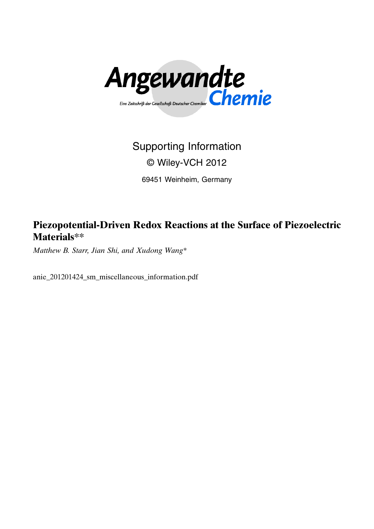

## Supporting Information

## © Wiley-VCH 2012

69451 Weinheim, Germany

Piezopotential-Driven Redox Reactions at the Surface of Piezoelectric Materials\*\*

Matthew B. Starr, Jian Shi, and Xudong Wang\*

anie\_201201424\_sm\_miscellaneous\_information.pdf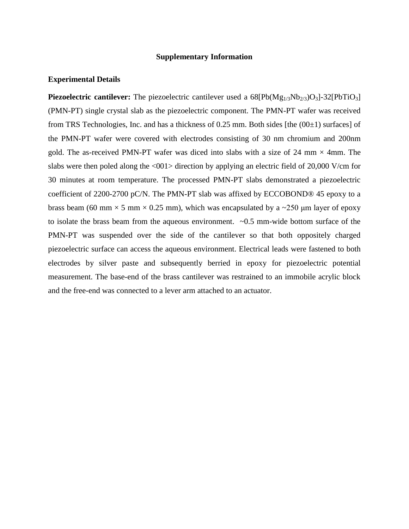## **Supplementary Information**

## **Experimental Details**

**Piezoelectric cantilever:** The piezoelectric cantilever used a 68[Pb(Mg<sub>1/3</sub>Nb<sub>2/3</sub>)O<sub>3</sub>]-32[PbTiO<sub>3</sub>] (PMN-PT) single crystal slab as the piezoelectric component. The PMN-PT wafer was received from TRS Technologies, Inc. and has a thickness of 0.25 mm. Both sides [the  $(00\pm 1)$  surfaces] of the PMN-PT wafer were covered with electrodes consisting of 30 nm chromium and 200nm gold. The as-received PMN-PT wafer was diced into slabs with a size of 24 mm  $\times$  4mm. The slabs were then poled along the <001> direction by applying an electric field of 20,000 V/cm for 30 minutes at room temperature. The processed PMN-PT slabs demonstrated a piezoelectric coefficient of 2200-2700 pC/N. The PMN-PT slab was affixed by ECCOBOND® 45 epoxy to a brass beam (60 mm  $\times$  5 mm  $\times$  0.25 mm), which was encapsulated by a  $\sim$  250 µm layer of epoxy to isolate the brass beam from the aqueous environment. ~0.5 mm-wide bottom surface of the PMN-PT was suspended over the side of the cantilever so that both oppositely charged piezoelectric surface can access the aqueous environment. Electrical leads were fastened to both electrodes by silver paste and subsequently berried in epoxy for piezoelectric potential measurement. The base-end of the brass cantilever was restrained to an immobile acrylic block and the free-end was connected to a lever arm attached to an actuator.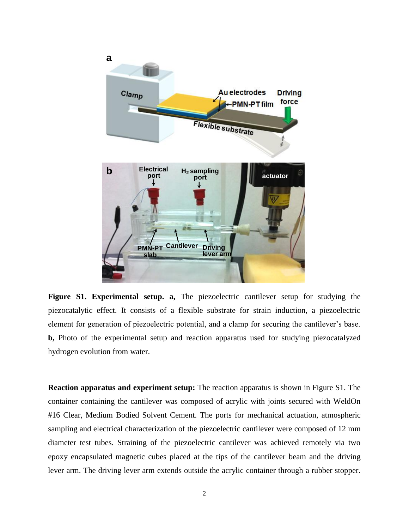

**Figure S1. Experimental setup. a,** The piezoelectric cantilever setup for studying the piezocatalytic effect. It consists of a flexible substrate for strain induction, a piezoelectric element for generation of piezoelectric potential, and a clamp for securing the cantilever's base. **b,** Photo of the experimental setup and reaction apparatus used for studying piezocatalyzed hydrogen evolution from water.

**Reaction apparatus and experiment setup:** The reaction apparatus is shown in Figure S1. The container containing the cantilever was composed of acrylic with joints secured with WeldOn #16 Clear, Medium Bodied Solvent Cement. The ports for mechanical actuation, atmospheric sampling and electrical characterization of the piezoelectric cantilever were composed of 12 mm diameter test tubes. Straining of the piezoelectric cantilever was achieved remotely via two epoxy encapsulated magnetic cubes placed at the tips of the cantilever beam and the driving lever arm. The driving lever arm extends outside the acrylic container through a rubber stopper.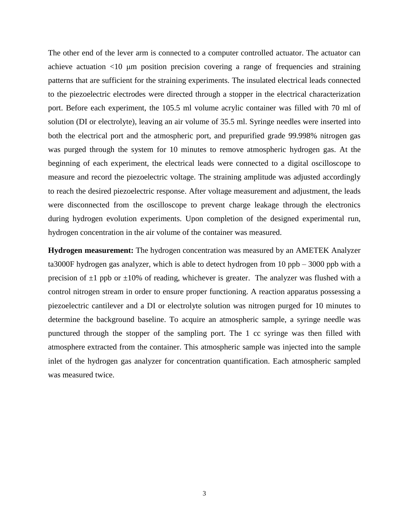The other end of the lever arm is connected to a computer controlled actuator. The actuator can achieve actuation <10 μm position precision covering a range of frequencies and straining patterns that are sufficient for the straining experiments. The insulated electrical leads connected to the piezoelectric electrodes were directed through a stopper in the electrical characterization port. Before each experiment, the 105.5 ml volume acrylic container was filled with 70 ml of solution (DI or electrolyte), leaving an air volume of 35.5 ml. Syringe needles were inserted into both the electrical port and the atmospheric port, and prepurified grade 99.998% nitrogen gas was purged through the system for 10 minutes to remove atmospheric hydrogen gas. At the beginning of each experiment, the electrical leads were connected to a digital oscilloscope to measure and record the piezoelectric voltage. The straining amplitude was adjusted accordingly to reach the desired piezoelectric response. After voltage measurement and adjustment, the leads were disconnected from the oscilloscope to prevent charge leakage through the electronics during hydrogen evolution experiments. Upon completion of the designed experimental run, hydrogen concentration in the air volume of the container was measured.

**Hydrogen measurement:** The hydrogen concentration was measured by an AMETEK Analyzer ta3000F hydrogen gas analyzer, which is able to detect hydrogen from 10 ppb – 3000 ppb with a precision of  $\pm 1$  ppb or  $\pm 10\%$  of reading, whichever is greater. The analyzer was flushed with a control nitrogen stream in order to ensure proper functioning. A reaction apparatus possessing a piezoelectric cantilever and a DI or electrolyte solution was nitrogen purged for 10 minutes to determine the background baseline. To acquire an atmospheric sample, a syringe needle was punctured through the stopper of the sampling port. The 1 cc syringe was then filled with atmosphere extracted from the container. This atmospheric sample was injected into the sample inlet of the hydrogen gas analyzer for concentration quantification. Each atmospheric sampled was measured twice.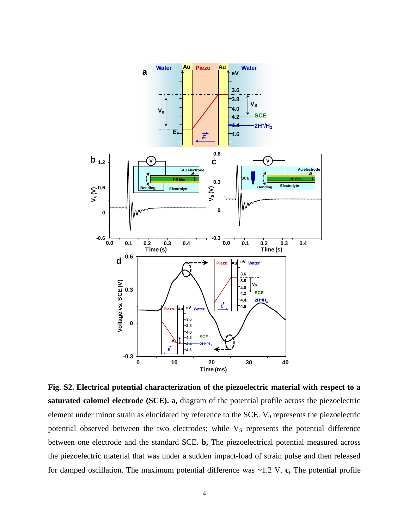

**Fig. S2. Electrical potential characterization of the piezoelectric material with respect to a saturated calomel electrode (SCE). a,** diagram of the potential profile across the piezoelectric element under minor strain as elucidated by reference to the SCE.  $V_0$  represents the piezoelectric potential observed between the two electrodes; while V<sub>S</sub> represents the potential difference between one electrode and the standard SCE. **b,** The piezoelectrical potential measured across the piezoelectric material that was under a sudden impact-load of strain pulse and then released for damped oscillation. The maximum potential difference was ~1.2 V. **c,** The potential profile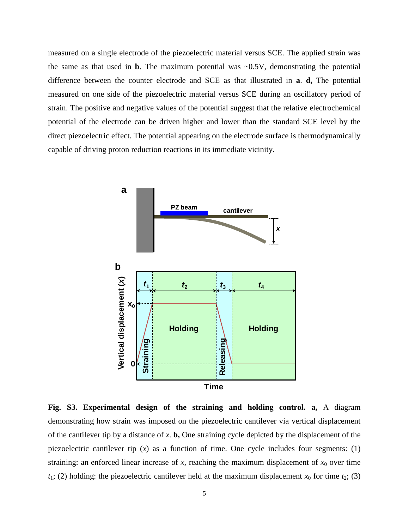measured on a single electrode of the piezoelectric material versus SCE. The applied strain was the same as that used in **b**. The maximum potential was  $\sim 0.5V$ , demonstrating the potential difference between the counter electrode and SCE as that illustrated in **a**. **d,** The potential measured on one side of the piezoelectric material versus SCE during an oscillatory period of strain. The positive and negative values of the potential suggest that the relative electrochemical potential of the electrode can be driven higher and lower than the standard SCE level by the direct piezoelectric effect. The potential appearing on the electrode surface is thermodynamically capable of driving proton reduction reactions in its immediate vicinity.



**Fig. S3. Experimental design of the straining and holding control. a,** A diagram demonstrating how strain was imposed on the piezoelectric cantilever via vertical displacement of the cantilever tip by a distance of *x*. **b,** One straining cycle depicted by the displacement of the piezoelectric cantilever tip  $(x)$  as a function of time. One cycle includes four segments: (1) straining: an enforced linear increase of  $x$ , reaching the maximum displacement of  $x_0$  over time  $t_1$ ; (2) holding: the piezoelectric cantilever held at the maximum displacement  $x_0$  for time  $t_2$ ; (3)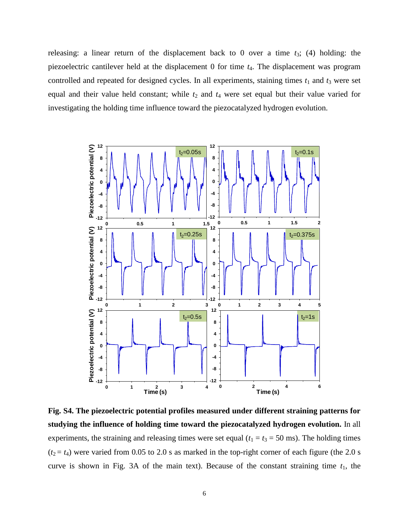releasing: a linear return of the displacement back to 0 over a time *t*3; (4) holding: the piezoelectric cantilever held at the displacement 0 for time *t*4. The displacement was program controlled and repeated for designed cycles. In all experiments, staining times  $t_1$  and  $t_3$  were set equal and their value held constant; while  $t_2$  and  $t_4$  were set equal but their value varied for investigating the holding time influence toward the piezocatalyzed hydrogen evolution.



**Fig. S4. The piezoelectric potential profiles measured under different straining patterns for studying the influence of holding time toward the piezocatalyzed hydrogen evolution.** In all experiments, the straining and releasing times were set equal ( $t_1 = t_3 = 50$  ms). The holding times  $(t_2 = t_4)$  were varied from 0.05 to 2.0 s as marked in the top-right corner of each figure (the 2.0 s curve is shown in Fig. 3A of the main text). Because of the constant straining time  $t_1$ , the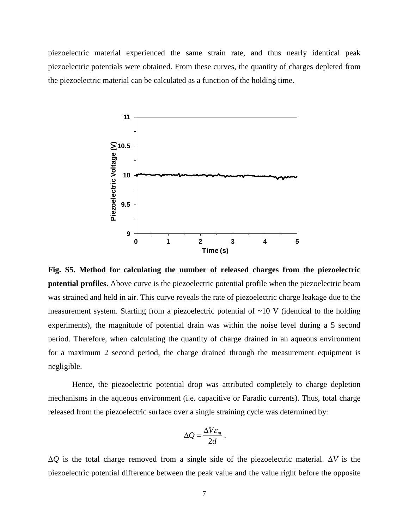piezoelectric material experienced the same strain rate, and thus nearly identical peak piezoelectric potentials were obtained. From these curves, the quantity of charges depleted from the piezoelectric material can be calculated as a function of the holding time.



**Fig. S5. Method for calculating the number of released charges from the piezoelectric potential profiles.** Above curve is the piezoelectric potential profile when the piezoelectric beam was strained and held in air. This curve reveals the rate of piezoelectric charge leakage due to the measurement system. Starting from a piezoelectric potential of  $\sim 10$  V (identical to the holding experiments), the magnitude of potential drain was within the noise level during a 5 second period. Therefore, when calculating the quantity of charge drained in an aqueous environment for a maximum 2 second period, the charge drained through the measurement equipment is negligible.

Hence, the piezoelectric potential drop was attributed completely to charge depletion mechanisms in the aqueous environment (i.e. capacitive or Faradic currents). Thus, total charge released from the piezoelectric surface over a single straining cycle was determined by:

$$
\Delta Q = \frac{\Delta V \varepsilon_m}{2d} \, .
$$

Δ*Q* is the total charge removed from a single side of the piezoelectric material. Δ*V* is the piezoelectric potential difference between the peak value and the value right before the opposite